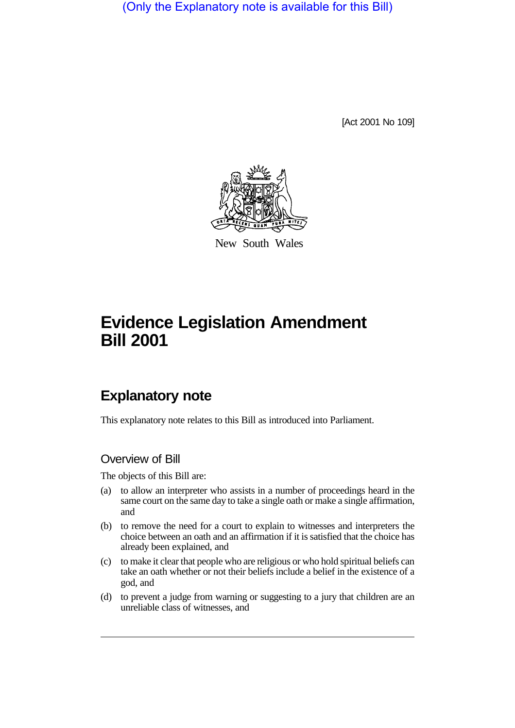(Only the Explanatory note is available for this Bill)

[Act 2001 No 109]



New South Wales

# **Evidence Legislation Amendment Bill 2001**

## **Explanatory note**

This explanatory note relates to this Bill as introduced into Parliament.

## Overview of Bill

The objects of this Bill are:

- (a) to allow an interpreter who assists in a number of proceedings heard in the same court on the same day to take a single oath or make a single affirmation, and
- (b) to remove the need for a court to explain to witnesses and interpreters the choice between an oath and an affirmation if it is satisfied that the choice has already been explained, and
- (c) to make it clear that people who are religious or who hold spiritual beliefs can take an oath whether or not their beliefs include a belief in the existence of a god, and
- (d) to prevent a judge from warning or suggesting to a jury that children are an unreliable class of witnesses, and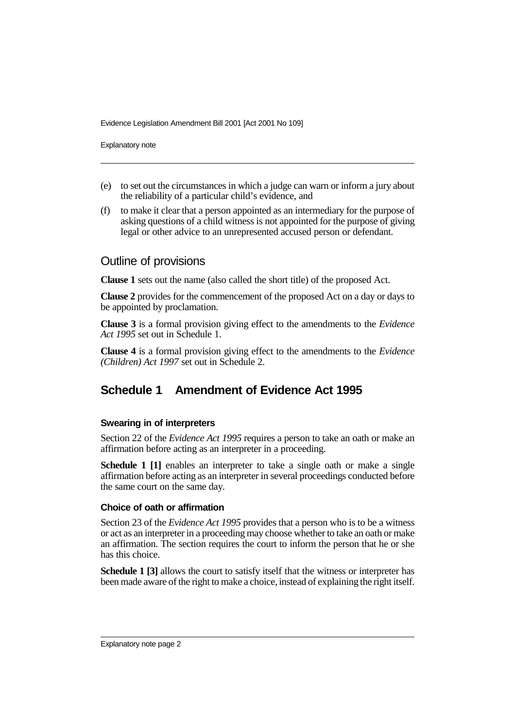Evidence Legislation Amendment Bill 2001 [Act 2001 No 109]

Explanatory note

- (e) to set out the circumstances in which a judge can warn or inform a jury about the reliability of a particular child's evidence, and
- (f) to make it clear that a person appointed as an intermediary for the purpose of asking questions of a child witness is not appointed for the purpose of giving legal or other advice to an unrepresented accused person or defendant.

### Outline of provisions

**Clause 1** sets out the name (also called the short title) of the proposed Act.

**Clause 2** provides for the commencement of the proposed Act on a day or days to be appointed by proclamation.

**Clause 3** is a formal provision giving effect to the amendments to the *Evidence Act 1995* set out in Schedule 1.

**Clause 4** is a formal provision giving effect to the amendments to the *Evidence (Children) Act 1997* set out in Schedule 2.

## **Schedule 1 Amendment of Evidence Act 1995**

#### **Swearing in of interpreters**

Section 22 of the *Evidence Act 1995* requires a person to take an oath or make an affirmation before acting as an interpreter in a proceeding.

**Schedule 1 [1]** enables an interpreter to take a single oath or make a single affirmation before acting as an interpreter in several proceedings conducted before the same court on the same day.

#### **Choice of oath or affirmation**

Section 23 of the *Evidence Act 1995* provides that a person who is to be a witness or act as an interpreter in a proceeding may choose whether to take an oath or make an affirmation. The section requires the court to inform the person that he or she has this choice.

**Schedule 1 [3]** allows the court to satisfy itself that the witness or interpreter has been made aware of the right to make a choice, instead of explaining the right itself.